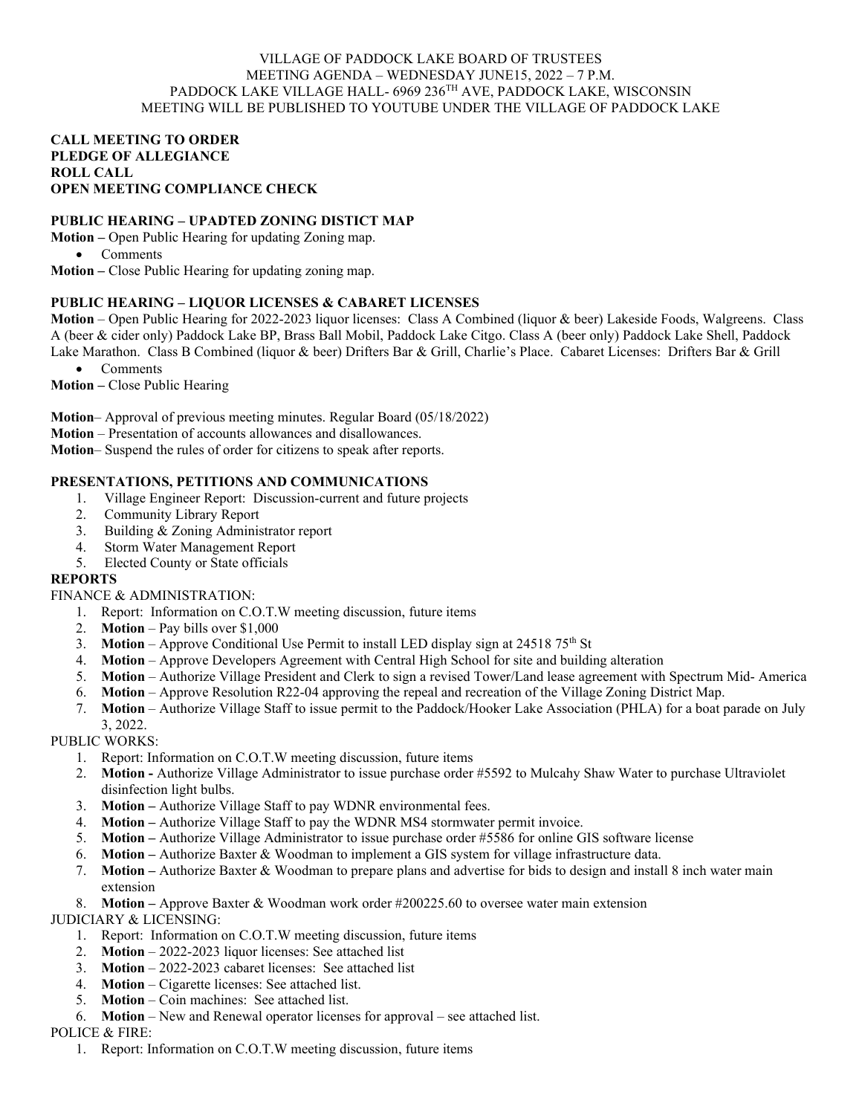#### VILLAGE OF PADDOCK LAKE BOARD OF TRUSTEES MEETING AGENDA – WEDNESDAY JUNE15, 2022 – 7 P.M. PADDOCK LAKE VILLAGE HALL- 6969 236TH AVE, PADDOCK LAKE, WISCONSIN MEETING WILL BE PUBLISHED TO YOUTUBE UNDER THE VILLAGE OF PADDOCK LAKE

#### **CALL MEETING TO ORDER PLEDGE OF ALLEGIANCE ROLL CALL OPEN MEETING COMPLIANCE CHECK**

# **PUBLIC HEARING – UPADTED ZONING DISTICT MAP**

**Motion –** Open Public Hearing for updating Zoning map.

• Comments

**Motion –** Close Public Hearing for updating zoning map.

## **PUBLIC HEARING – LIQUOR LICENSES & CABARET LICENSES**

**Motion** – Open Public Hearing for 2022-2023 liquor licenses: Class A Combined (liquor & beer) Lakeside Foods, Walgreens. Class A (beer & cider only) Paddock Lake BP, Brass Ball Mobil, Paddock Lake Citgo. Class A (beer only) Paddock Lake Shell, Paddock Lake Marathon. Class B Combined (liquor & beer) Drifters Bar & Grill, Charlie's Place. Cabaret Licenses: Drifters Bar & Grill

• Comments

**Motion –** Close Public Hearing

**Motion**– Approval of previous meeting minutes. Regular Board (05/18/2022)

**Motion** – Presentation of accounts allowances and disallowances.

**Motion**– Suspend the rules of order for citizens to speak after reports.

## **PRESENTATIONS, PETITIONS AND COMMUNICATIONS**

- 1. Village Engineer Report: Discussion-current and future projects
- 2. Community Library Report
- 3. Building & Zoning Administrator report
- 4. Storm Water Management Report
- 5. Elected County or State officials

## **REPORTS**

## FINANCE & ADMINISTRATION:

- 1. Report: Information on C.O.T.W meeting discussion, future items
- 2. **Motion** Pay bills over \$1,000
- 3. **Motion** Approve Conditional Use Permit to install LED display sign at 24518 75<sup>th</sup> St
- 4. **Motion**  Approve Developers Agreement with Central High School for site and building alteration
- 5. **Motion**  Authorize Village President and Clerk to sign a revised Tower/Land lease agreement with Spectrum Mid- America
- 6. **Motion**  Approve Resolution R22-04 approving the repeal and recreation of the Village Zoning District Map.
- 7. **Motion** Authorize Village Staff to issue permit to the Paddock/Hooker Lake Association (PHLA) for a boat parade on July

3, 2022. PUBLIC WORKS:

- 1. Report: Information on C.O.T.W meeting discussion, future items
- 2. **Motion -** Authorize Village Administrator to issue purchase order #5592 to Mulcahy Shaw Water to purchase Ultraviolet disinfection light bulbs.
- 3. **Motion –** Authorize Village Staff to pay WDNR environmental fees.
- 4. **Motion –** Authorize Village Staff to pay the WDNR MS4 stormwater permit invoice.
- 5. **Motion –** Authorize Village Administrator to issue purchase order #5586 for online GIS software license
- 6. **Motion –** Authorize Baxter & Woodman to implement a GIS system for village infrastructure data.
- 7. **Motion –** Authorize Baxter & Woodman to prepare plans and advertise for bids to design and install 8 inch water main extension

8. **Motion –** Approve Baxter & Woodman work order #200225.60 to oversee water main extension

JUDICIARY & LICENSING:

- 1. Report: Information on C.O.T.W meeting discussion, future items
- 2. **Motion** 2022-2023 liquor licenses: See attached list
- 3. **Motion** 2022-2023 cabaret licenses: See attached list
- 4. **Motion** Cigarette licenses: See attached list.
- 5. **Motion** Coin machines: See attached list.
- 6. **Motion** New and Renewal operator licenses for approval see attached list.

## POLICE & FIRE:

1. Report: Information on C.O.T.W meeting discussion, future items